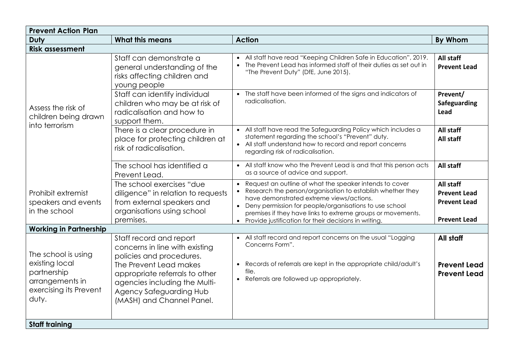| <b>Prevent Action Plan</b>                                                                                 |                                                                                                                                                                                                                                            |                                                                                                                                                                                                                                                                                                                                                         |                                                                                |  |
|------------------------------------------------------------------------------------------------------------|--------------------------------------------------------------------------------------------------------------------------------------------------------------------------------------------------------------------------------------------|---------------------------------------------------------------------------------------------------------------------------------------------------------------------------------------------------------------------------------------------------------------------------------------------------------------------------------------------------------|--------------------------------------------------------------------------------|--|
| Duty                                                                                                       | <b>What this means</b>                                                                                                                                                                                                                     | <b>Action</b>                                                                                                                                                                                                                                                                                                                                           | By Whom                                                                        |  |
| <b>Risk assessment</b>                                                                                     |                                                                                                                                                                                                                                            |                                                                                                                                                                                                                                                                                                                                                         |                                                                                |  |
| Assess the risk of<br>children being drawn<br>into terrorism                                               | Staff can demonstrate a<br>general understanding of the<br>risks affecting children and<br>young people                                                                                                                                    | • All staff have read "Keeping Children Safe in Education", 2019.<br>The Prevent Lead has informed staff of their duties as set out in<br>$\bullet$<br>"The Prevent Duty" (DfE, June 2015).                                                                                                                                                             | All staff<br><b>Prevent Lead</b>                                               |  |
|                                                                                                            | Staff can identify individual<br>children who may be at risk of<br>radicalisation and how to<br>support them.                                                                                                                              | • The staff have been informed of the signs and indicators of<br>radicalisation.                                                                                                                                                                                                                                                                        | Prevent/<br><b>Safeguarding</b><br>Lead                                        |  |
|                                                                                                            | There is a clear procedure in<br>place for protecting children at<br>risk of radicalisation.                                                                                                                                               | • All staff have read the Safeguarding Policy which includes a<br>statement regarding the school's "Prevent" duty.<br>• All staff understand how to record and report concerns<br>regarding risk of radicalisation.                                                                                                                                     | All staff<br>All staff                                                         |  |
|                                                                                                            | The school has identified a<br>Prevent Lead.                                                                                                                                                                                               | • All staff know who the Prevent Lead is and that this person acts<br>as a source of advice and support.                                                                                                                                                                                                                                                | All staff                                                                      |  |
| Prohibit extremist<br>speakers and events<br>in the school                                                 | The school exercises "due<br>diligence" in relation to requests<br>from external speakers and<br>organisations using school<br>premises.                                                                                                   | Request an outline of what the speaker intends to cover<br>Research the person/organisation to establish whether they<br>have demonstrated extreme views/actions.<br>• Deny permission for people/organisations to use school<br>premises if they have links to extreme groups or movements.<br>• Provide justification for their decisions in writing. | All staff<br><b>Prevent Lead</b><br><b>Prevent Lead</b><br><b>Prevent Lead</b> |  |
| <b>Working in Partnership</b>                                                                              |                                                                                                                                                                                                                                            |                                                                                                                                                                                                                                                                                                                                                         |                                                                                |  |
| The school is using<br>existing local<br>partnership<br>arrangements in<br>exercising its Prevent<br>duty. | Staff record and report<br>concerns in line with existing<br>policies and procedures.<br>The Prevent Lead makes<br>appropriate referrals to other<br>agencies including the Multi-<br>Agency Safeguarding Hub<br>(MASH) and Channel Panel. | • All staff record and report concerns on the usual "Logging<br>Concerns Form".<br>Records of referrals are kept in the appropriate child/adult's<br>$\bullet$<br>file.<br>• Referrals are followed up appropriately.                                                                                                                                   | All staff<br><b>Prevent Lead</b><br><b>Prevent Lead</b>                        |  |
| <b>Staff training</b>                                                                                      |                                                                                                                                                                                                                                            |                                                                                                                                                                                                                                                                                                                                                         |                                                                                |  |